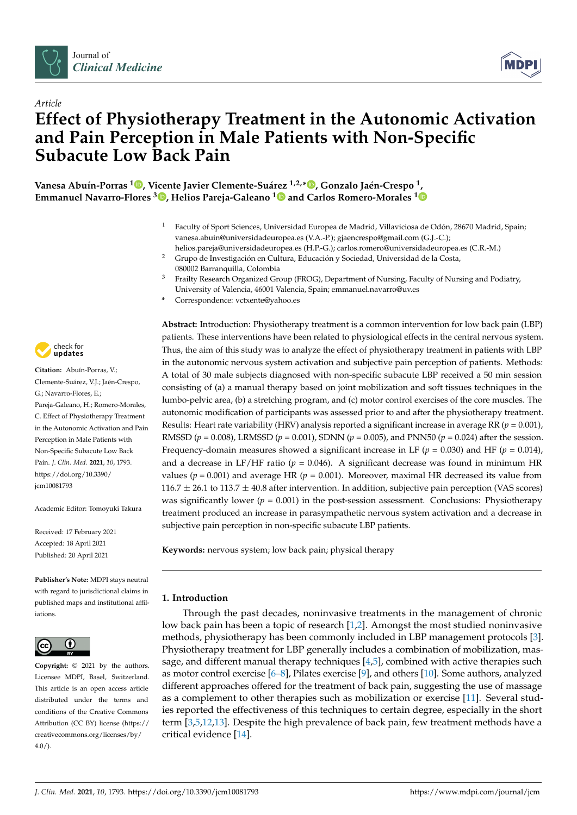



# *Article* **Effect of Physiotherapy Treatment in the Autonomic Activation and Pain Perception in Male Patients with Non-Specific Subacute Low Back Pain**

**Vanesa Abuín-Porras [1](https://orcid.org/0000-0002-1782-2524) , Vicente Javier Clemente-Suárez 1,2,\* [,](https://orcid.org/0000-0002-2397-2801) Gonzalo Jaén-Crespo <sup>1</sup> , Emmanuel Navarro-Flores <sup>3</sup> [,](https://orcid.org/0000-0002-6170-4779) Helios Pareja-Galeano [1](https://orcid.org/0000-0002-5780-2712) and Carlos Romero-Morales [1](https://orcid.org/0000-0001-6598-829X)**

- <sup>1</sup> Faculty of Sport Sciences, Universidad Europea de Madrid, Villaviciosa de Odón, 28670 Madrid, Spain; vanesa.abuin@universidadeuropea.es (V.A.-P.); gjaencrespo@gmail.com (G.J.-C.);
- helios.pareja@universidadeuropea.es (H.P.-G.); carlos.romero@universidadeuropea.es (C.R.-M.) <sup>2</sup> Grupo de Investigación en Cultura, Educación y Sociedad, Universidad de la Costa,
- 080002 Barranquilla, Colombia <sup>3</sup> Frailty Research Organized Group (FROG), Department of Nursing, Faculty of Nursing and Podiatry, University of Valencia, 46001 Valencia, Spain; emmanuel.navarro@uv.es
- **\*** Correspondence: vctxente@yahoo.es



**Citation:** Abuín-Porras, V.; Clemente-Suárez, V.J.; Jaén-Crespo, G.; Navarro-Flores, E.; Pareja-Galeano, H.; Romero-Morales, C. Effect of Physiotherapy Treatment in the Autonomic Activation and Pain Perception in Male Patients with Non-Specific Subacute Low Back Pain. *J. Clin. Med.* **2021**, *10*, 1793. [https://doi.org/10.3390/](https://doi.org/10.3390/jcm10081793) [jcm10081793](https://doi.org/10.3390/jcm10081793)

Academic Editor: Tomoyuki Takura

Received: 17 February 2021 Accepted: 18 April 2021 Published: 20 April 2021

**Publisher's Note:** MDPI stays neutral with regard to jurisdictional claims in published maps and institutional affiliations.



**Copyright:** © 2021 by the authors. Licensee MDPI, Basel, Switzerland. This article is an open access article distributed under the terms and conditions of the Creative Commons Attribution (CC BY) license (https:/[/](https://creativecommons.org/licenses/by/4.0/) [creativecommons.org/licenses/by/](https://creativecommons.org/licenses/by/4.0/)  $4.0/$ ).

**Abstract:** Introduction: Physiotherapy treatment is a common intervention for low back pain (LBP) patients. These interventions have been related to physiological effects in the central nervous system. Thus, the aim of this study was to analyze the effect of physiotherapy treatment in patients with LBP in the autonomic nervous system activation and subjective pain perception of patients. Methods: A total of 30 male subjects diagnosed with non-specific subacute LBP received a 50 min session consisting of (a) a manual therapy based on joint mobilization and soft tissues techniques in the lumbo-pelvic area, (b) a stretching program, and (c) motor control exercises of the core muscles. The autonomic modification of participants was assessed prior to and after the physiotherapy treatment. Results: Heart rate variability (HRV) analysis reported a significant increase in average RR (*p* = 0.001), RMSSD (*p* = 0.008), LRMSSD (*p* = 0.001), SDNN (*p* = 0.005), and PNN50 (*p* = 0.024) after the session. Frequency-domain measures showed a significant increase in LF ( $p = 0.030$ ) and HF ( $p = 0.014$ ), and a decrease in LF/HF ratio ( $p = 0.046$ ). A significant decrease was found in minimum HR values ( $p = 0.001$ ) and average HR ( $p = 0.001$ ). Moreover, maximal HR decreased its value from  $116.7 \pm 26.1$  to  $113.7 \pm 40.8$  after intervention. In addition, subjective pain perception (VAS scores) was significantly lower ( $p = 0.001$ ) in the post-session assessment. Conclusions: Physiotherapy treatment produced an increase in parasympathetic nervous system activation and a decrease in subjective pain perception in non-specific subacute LBP patients.

**Keywords:** nervous system; low back pain; physical therapy

# **1. Introduction**

Through the past decades, noninvasive treatments in the management of chronic low back pain has been a topic of research [\[1,](#page-6-0)[2\]](#page-6-1). Amongst the most studied noninvasive methods, physiotherapy has been commonly included in LBP management protocols [\[3\]](#page-6-2). Physiotherapy treatment for LBP generally includes a combination of mobilization, massage, and different manual therapy techniques  $[4,5]$  $[4,5]$ , combined with active therapies such as motor control exercise [\[6–](#page-6-5)[8\]](#page-6-6), Pilates exercise [\[9\]](#page-6-7), and others [\[10\]](#page-6-8). Some authors, analyzed different approaches offered for the treatment of back pain, suggesting the use of massage as a complement to other therapies such as mobilization or exercise [\[11\]](#page-6-9). Several studies reported the effectiveness of this techniques to certain degree, especially in the short term [\[3](#page-6-2)[,5](#page-6-4)[,12](#page-6-10)[,13\]](#page-6-11). Despite the high prevalence of back pain, few treatment methods have a critical evidence [\[14\]](#page-6-12).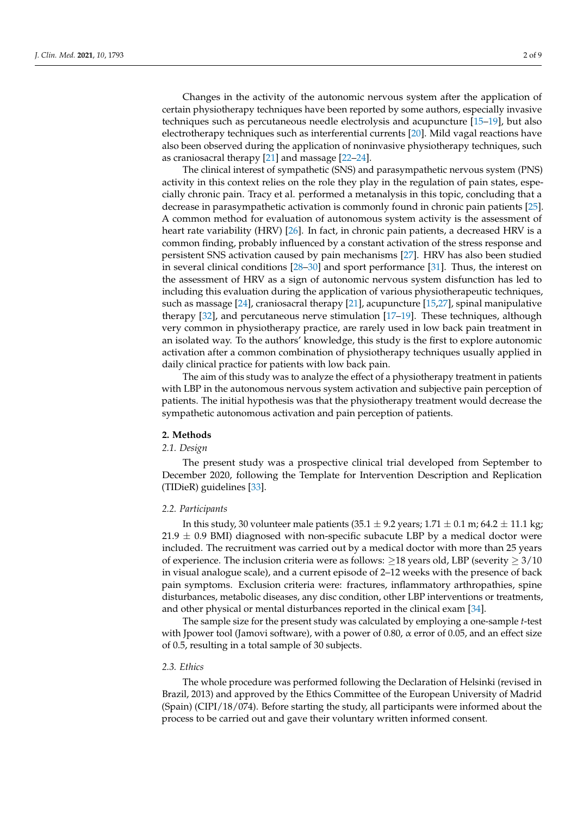Changes in the activity of the autonomic nervous system after the application of certain physiotherapy techniques have been reported by some authors, especially invasive techniques such as percutaneous needle electrolysis and acupuncture [\[15–](#page-6-13)[19\]](#page-6-14), but also electrotherapy techniques such as interferential currents [\[20\]](#page-6-15). Mild vagal reactions have also been observed during the application of noninvasive physiotherapy techniques, such as craniosacral therapy [\[21\]](#page-6-16) and massage [\[22–](#page-6-17)[24\]](#page-7-0).

The clinical interest of sympathetic (SNS) and parasympathetic nervous system (PNS) activity in this context relies on the role they play in the regulation of pain states, especially chronic pain. Tracy et al. performed a metanalysis in this topic, concluding that a decrease in parasympathetic activation is commonly found in chronic pain patients [\[25\]](#page-7-1). A common method for evaluation of autonomous system activity is the assessment of heart rate variability (HRV) [\[26\]](#page-7-2). In fact, in chronic pain patients, a decreased HRV is a common finding, probably influenced by a constant activation of the stress response and persistent SNS activation caused by pain mechanisms [\[27\]](#page-7-3). HRV has also been studied in several clinical conditions [\[28–](#page-7-4)[30\]](#page-7-5) and sport performance [\[31\]](#page-7-6). Thus, the interest on the assessment of HRV as a sign of autonomic nervous system disfunction has led to including this evaluation during the application of various physiotherapeutic techniques, such as massage [\[24\]](#page-7-0), craniosacral therapy [\[21\]](#page-6-16), acupuncture [\[15](#page-6-13)[,27\]](#page-7-3), spinal manipulative therapy [\[32\]](#page-7-7), and percutaneous nerve stimulation [\[17–](#page-6-18)[19\]](#page-6-14). These techniques, although very common in physiotherapy practice, are rarely used in low back pain treatment in an isolated way. To the authors' knowledge, this study is the first to explore autonomic activation after a common combination of physiotherapy techniques usually applied in daily clinical practice for patients with low back pain.

The aim of this study was to analyze the effect of a physiotherapy treatment in patients with LBP in the autonomous nervous system activation and subjective pain perception of patients. The initial hypothesis was that the physiotherapy treatment would decrease the sympathetic autonomous activation and pain perception of patients.

#### **2. Methods**

#### *2.1. Design*

The present study was a prospective clinical trial developed from September to December 2020, following the Template for Intervention Description and Replication (TIDieR) guidelines [\[33\]](#page-7-8).

# *2.2. Participants*

In this study, 30 volunteer male patients  $(35.1 \pm 9.2 \text{ years}; 1.71 \pm 0.1 \text{ m}; 64.2 \pm 11.1 \text{ kg};$  $21.9 \pm 0.9$  BMI) diagnosed with non-specific subacute LBP by a medical doctor were included. The recruitment was carried out by a medical doctor with more than 25 years of experience. The inclusion criteria were as follows:  $\geq$ 18 years old, LBP (severity  $\geq$  3/10 in visual analogue scale), and a current episode of 2–12 weeks with the presence of back pain symptoms. Exclusion criteria were: fractures, inflammatory arthropathies, spine disturbances, metabolic diseases, any disc condition, other LBP interventions or treatments, and other physical or mental disturbances reported in the clinical exam [\[34\]](#page-7-9).

The sample size for the present study was calculated by employing a one-sample *t*-test with Jpower tool (Jamovi software), with a power of 0.80, α error of 0.05, and an effect size of 0.5, resulting in a total sample of 30 subjects.

#### *2.3. Ethics*

The whole procedure was performed following the Declaration of Helsinki (revised in Brazil, 2013) and approved by the Ethics Committee of the European University of Madrid (Spain) (CIPI/18/074). Before starting the study, all participants were informed about the process to be carried out and gave their voluntary written informed consent.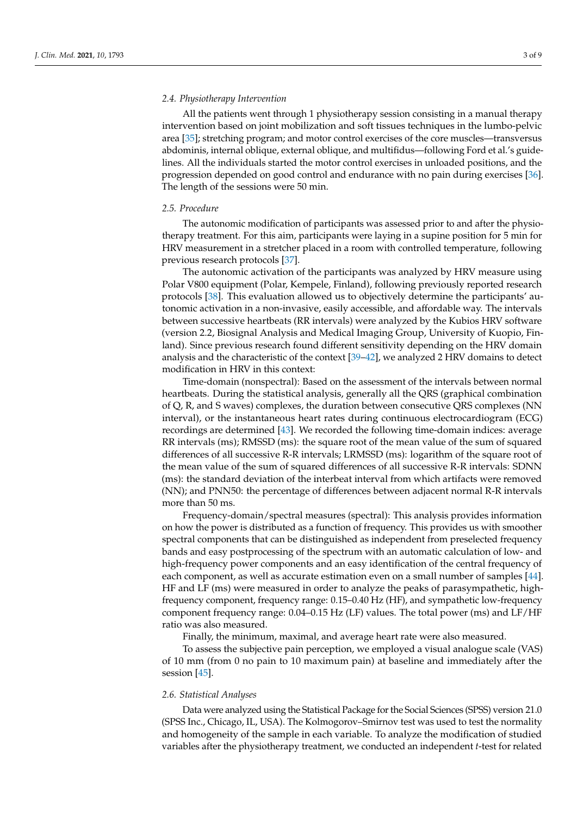# *2.4. Physiotherapy Intervention*

All the patients went through 1 physiotherapy session consisting in a manual therapy intervention based on joint mobilization and soft tissues techniques in the lumbo-pelvic area [\[35\]](#page-7-10); stretching program; and motor control exercises of the core muscles—transversus abdominis, internal oblique, external oblique, and multifidus—following Ford et al.'s guidelines. All the individuals started the motor control exercises in unloaded positions, and the progression depended on good control and endurance with no pain during exercises [\[36\]](#page-7-11). The length of the sessions were 50 min.

#### *2.5. Procedure*

The autonomic modification of participants was assessed prior to and after the physiotherapy treatment. For this aim, participants were laying in a supine position for 5 min for HRV measurement in a stretcher placed in a room with controlled temperature, following previous research protocols [\[37\]](#page-7-12).

The autonomic activation of the participants was analyzed by HRV measure using Polar V800 equipment (Polar, Kempele, Finland), following previously reported research protocols [\[38\]](#page-7-13). This evaluation allowed us to objectively determine the participants' autonomic activation in a non-invasive, easily accessible, and affordable way. The intervals between successive heartbeats (RR intervals) were analyzed by the Kubios HRV software (version 2.2, Biosignal Analysis and Medical Imaging Group, University of Kuopio, Finland). Since previous research found different sensitivity depending on the HRV domain analysis and the characteristic of the context [\[39](#page-7-14)[–42\]](#page-7-15), we analyzed 2 HRV domains to detect modification in HRV in this context:

Time-domain (nonspectral): Based on the assessment of the intervals between normal heartbeats. During the statistical analysis, generally all the QRS (graphical combination of Q, R, and S waves) complexes, the duration between consecutive QRS complexes (NN interval), or the instantaneous heart rates during continuous electrocardiogram (ECG) recordings are determined [\[43\]](#page-7-16). We recorded the following time-domain indices: average RR intervals (ms); RMSSD (ms): the square root of the mean value of the sum of squared differences of all successive R-R intervals; LRMSSD (ms): logarithm of the square root of the mean value of the sum of squared differences of all successive R-R intervals: SDNN (ms): the standard deviation of the interbeat interval from which artifacts were removed (NN); and PNN50: the percentage of differences between adjacent normal R-R intervals more than 50 ms.

Frequency-domain/spectral measures (spectral): This analysis provides information on how the power is distributed as a function of frequency. This provides us with smoother spectral components that can be distinguished as independent from preselected frequency bands and easy postprocessing of the spectrum with an automatic calculation of low- and high-frequency power components and an easy identification of the central frequency of each component, as well as accurate estimation even on a small number of samples [\[44\]](#page-7-17). HF and LF (ms) were measured in order to analyze the peaks of parasympathetic, highfrequency component, frequency range: 0.15–0.40 Hz (HF), and sympathetic low-frequency component frequency range: 0.04–0.15 Hz (LF) values. The total power (ms) and LF/HF ratio was also measured.

Finally, the minimum, maximal, and average heart rate were also measured.

To assess the subjective pain perception, we employed a visual analogue scale (VAS) of 10 mm (from 0 no pain to 10 maximum pain) at baseline and immediately after the session [\[45\]](#page-7-18).

# *2.6. Statistical Analyses*

Data were analyzed using the Statistical Package for the Social Sciences (SPSS) version 21.0 (SPSS Inc., Chicago, IL, USA). The Kolmogorov–Smirnov test was used to test the normality and homogeneity of the sample in each variable. To analyze the modification of studied variables after the physiotherapy treatment, we conducted an independent *t*-test for related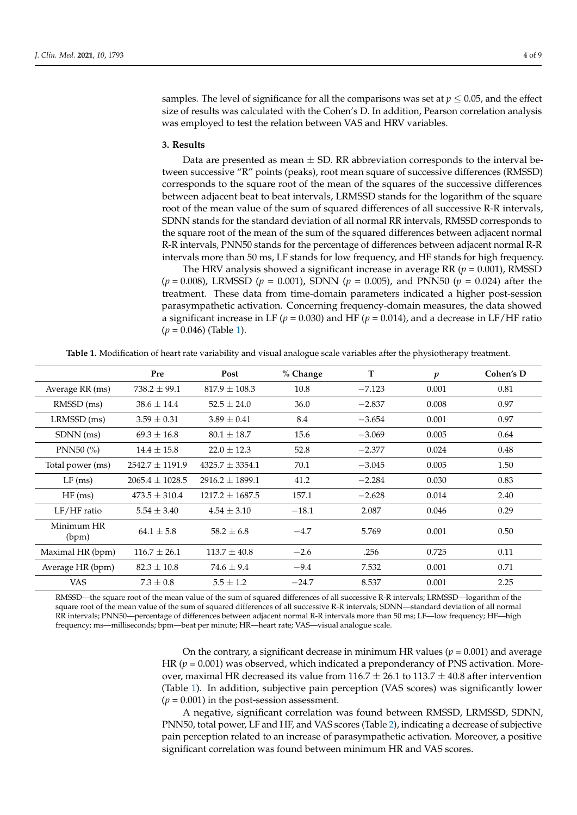samples. The level of significance for all the comparisons was set at  $p \leq 0.05$ , and the effect size of results was calculated with the Cohen's D. In addition, Pearson correlation analysis was employed to test the relation between VAS and HRV variables.

# **3. Results**

Data are presented as mean  $\pm$  SD. RR abbreviation corresponds to the interval between successive "R" points (peaks), root mean square of successive differences (RMSSD) corresponds to the square root of the mean of the squares of the successive differences between adjacent beat to beat intervals, LRMSSD stands for the logarithm of the square root of the mean value of the sum of squared differences of all successive R-R intervals, SDNN stands for the standard deviation of all normal RR intervals, RMSSD corresponds to the square root of the mean of the sum of the squared differences between adjacent normal R-R intervals, PNN50 stands for the percentage of differences between adjacent normal R-R intervals more than 50 ms, LF stands for low frequency, and HF stands for high frequency.

The HRV analysis showed a significant increase in average RR (*p* = 0.001), RMSSD (*p* = 0.008), LRMSSD (*p* = 0.001), SDNN (*p* = 0.005), and PNN50 (*p* = 0.024) after the treatment. These data from time-domain parameters indicated a higher post-session parasympathetic activation. Concerning frequency-domain measures, the data showed a significant increase in LF ( $p = 0.030$ ) and HF ( $p = 0.014$ ), and a decrease in LF/HF ratio (*p* = 0.046) (Table [1\)](#page-3-0).

**Table 1.** Modification of heart rate variability and visual analogue scale variables after the physiotherapy treatment.

<span id="page-3-0"></span>

|                     | Pre                 | Post              | % Change | T        | $\boldsymbol{p}$ | Cohen's D |
|---------------------|---------------------|-------------------|----------|----------|------------------|-----------|
| Average RR (ms)     | $738.2 + 99.1$      | $817.9 + 108.3$   | 10.8     | $-7.123$ | 0.001            | 0.81      |
| RMSSD (ms)          | $38.6 \pm 14.4$     | $52.5 \pm 24.0$   | 36.0     | $-2.837$ | 0.008            | 0.97      |
| LRMSSD (ms)         | $3.59 \pm 0.31$     | $3.89 + 0.41$     | 8.4      | $-3.654$ | 0.001            | 0.97      |
| SDNN (ms)           | $69.3 \pm 16.8$     | $80.1 \pm 18.7$   | 15.6     | $-3.069$ | 0.005            | 0.64      |
| PNN50 $(%)$         | $14.4 \pm 15.8$     | $22.0 + 12.3$     | 52.8     | $-2.377$ | 0.024            | 0.48      |
| Total power (ms)    | $2542.7 + 1191.9$   | $4325.7 + 3354.1$ | 70.1     | $-3.045$ | 0.005            | 1.50      |
| $LF$ (ms)           | $2065.4 \pm 1028.5$ | $2916.2 + 1899.1$ | 41.2     | $-2.284$ | 0.030            | 0.83      |
| HF(ms)              | $473.5 + 310.4$     | $1217.2 + 1687.5$ | 157.1    | $-2.628$ | 0.014            | 2.40      |
| $LF/HF$ ratio       | $5.54 \pm 3.40$     | $4.54 \pm 3.10$   | $-18.1$  | 2.087    | 0.046            | 0.29      |
| Minimum HR<br>(bpm) | $64.1 \pm 5.8$      | $58.2 \pm 6.8$    | $-4.7$   | 5.769    | 0.001            | 0.50      |
| Maximal HR (bpm)    | $116.7 \pm 26.1$    | $113.7 \pm 40.8$  | $-2.6$   | .256     | 0.725            | 0.11      |
| Average HR (bpm)    | $82.3 \pm 10.8$     | $74.6 + 9.4$      | $-9.4$   | 7.532    | 0.001            | 0.71      |
| <b>VAS</b>          | $7.3 \pm 0.8$       | $5.5 \pm 1.2$     | $-24.7$  | 8.537    | 0.001            | 2.25      |

RMSSD—the square root of the mean value of the sum of squared differences of all successive R-R intervals; LRMSSD—logarithm of the square root of the mean value of the sum of squared differences of all successive R-R intervals; SDNN—standard deviation of all normal RR intervals; PNN50—percentage of differences between adjacent normal R-R intervals more than 50 ms; LF—low frequency; HF—high frequency; ms—milliseconds; bpm—beat per minute; HR—heart rate; VAS—visual analogue scale.

> On the contrary, a significant decrease in minimum HR values ( $p = 0.001$ ) and average HR  $(p = 0.001)$  was observed, which indicated a preponderancy of PNS activation. Moreover, maximal HR decreased its value from  $116.7 \pm 26.1$  to  $113.7 \pm 40.8$  after intervention (Table [1\)](#page-3-0). In addition, subjective pain perception (VAS scores) was significantly lower  $(p = 0.001)$  in the post-session assessment.

> A negative, significant correlation was found between RMSSD, LRMSSD, SDNN, PNN50, total power, LF and HF, and VAS scores (Table [2\)](#page-4-0), indicating a decrease of subjective pain perception related to an increase of parasympathetic activation. Moreover, a positive significant correlation was found between minimum HR and VAS scores.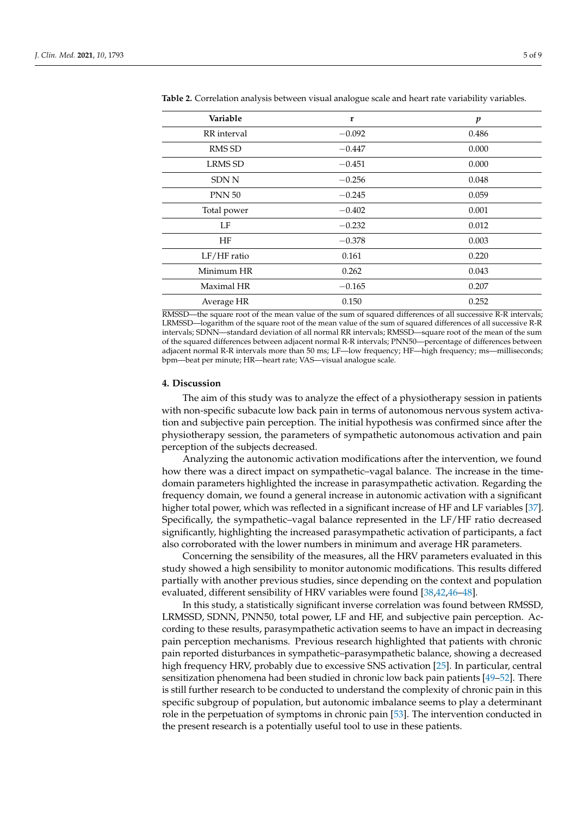| Variable       | $\mathbf{r}$ | p     |
|----------------|--------------|-------|
| RR interval    | $-0.092$     | 0.486 |
| <b>RMS SD</b>  | $-0.447$     | 0.000 |
| <b>LRMS SD</b> | $-0.451$     | 0.000 |
| <b>SDN N</b>   | $-0.256$     | 0.048 |
| <b>PNN 50</b>  | $-0.245$     | 0.059 |
| Total power    | $-0.402$     | 0.001 |
| LF             | $-0.232$     | 0.012 |
| HF             | $-0.378$     | 0.003 |
| $LF/HF$ ratio  | 0.161        | 0.220 |
| Minimum HR     | 0.262        | 0.043 |
| Maximal HR     | $-0.165$     | 0.207 |
| Average HR     | 0.150        | 0.252 |

<span id="page-4-0"></span>**Table 2.** Correlation analysis between visual analogue scale and heart rate variability variables.

RMSSD—the square root of the mean value of the sum of squared differences of all successive R-R intervals; LRMSSD—logarithm of the square root of the mean value of the sum of squared differences of all successive R-R intervals; SDNN—standard deviation of all normal RR intervals; RMSSD—square root of the mean of the sum of the squared differences between adjacent normal R-R intervals; PNN50—percentage of differences between adjacent normal R-R intervals more than 50 ms; LF—low frequency; HF—high frequency; ms—milliseconds; bpm—beat per minute; HR—heart rate; VAS—visual analogue scale.

#### **4. Discussion**

The aim of this study was to analyze the effect of a physiotherapy session in patients with non-specific subacute low back pain in terms of autonomous nervous system activation and subjective pain perception. The initial hypothesis was confirmed since after the physiotherapy session, the parameters of sympathetic autonomous activation and pain perception of the subjects decreased.

Analyzing the autonomic activation modifications after the intervention, we found how there was a direct impact on sympathetic–vagal balance. The increase in the timedomain parameters highlighted the increase in parasympathetic activation. Regarding the frequency domain, we found a general increase in autonomic activation with a significant higher total power, which was reflected in a significant increase of HF and LF variables [\[37\]](#page-7-12). Specifically, the sympathetic–vagal balance represented in the LF/HF ratio decreased significantly, highlighting the increased parasympathetic activation of participants, a fact also corroborated with the lower numbers in minimum and average HR parameters.

Concerning the sensibility of the measures, all the HRV parameters evaluated in this study showed a high sensibility to monitor autonomic modifications. This results differed partially with another previous studies, since depending on the context and population evaluated, different sensibility of HRV variables were found [\[38](#page-7-13)[,42](#page-7-15)[,46](#page-7-19)[–48\]](#page-7-20).

In this study, a statistically significant inverse correlation was found between RMSSD, LRMSSD, SDNN, PNN50, total power, LF and HF, and subjective pain perception. According to these results, parasympathetic activation seems to have an impact in decreasing pain perception mechanisms. Previous research highlighted that patients with chronic pain reported disturbances in sympathetic–parasympathetic balance, showing a decreased high frequency HRV, probably due to excessive SNS activation [\[25\]](#page-7-1). In particular, central sensitization phenomena had been studied in chronic low back pain patients [\[49–](#page-8-0)[52\]](#page-8-1). There is still further research to be conducted to understand the complexity of chronic pain in this specific subgroup of population, but autonomic imbalance seems to play a determinant role in the perpetuation of symptoms in chronic pain [\[53\]](#page-8-2). The intervention conducted in the present research is a potentially useful tool to use in these patients.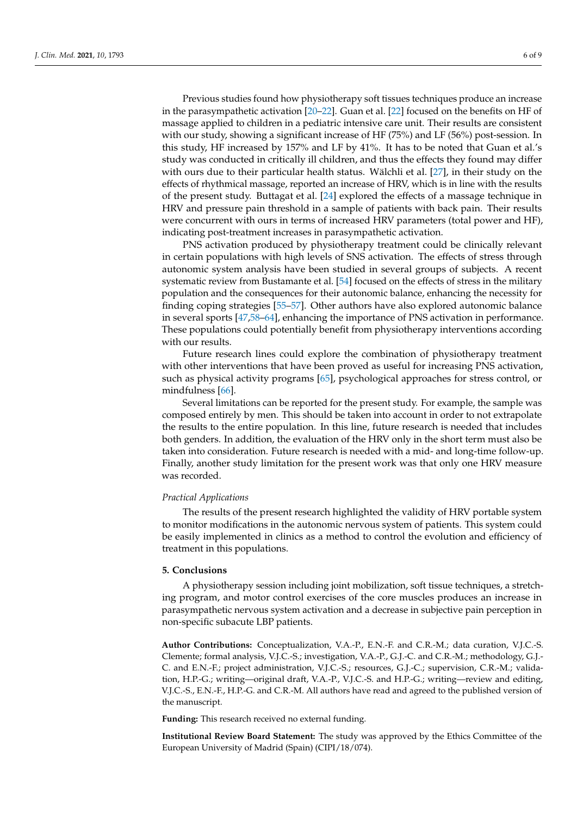Previous studies found how physiotherapy soft tissues techniques produce an increase in the parasympathetic activation [\[20](#page-6-15)[–22\]](#page-6-17). Guan et al. [\[22\]](#page-6-17) focused on the benefits on HF of massage applied to children in a pediatric intensive care unit. Their results are consistent with our study, showing a significant increase of HF (75%) and LF (56%) post-session. In this study, HF increased by 157% and LF by 41%. It has to be noted that Guan et al.'s study was conducted in critically ill children, and thus the effects they found may differ with ours due to their particular health status. Wälchli et al. [\[27\]](#page-7-3), in their study on the effects of rhythmical massage, reported an increase of HRV, which is in line with the results of the present study. Buttagat et al. [\[24\]](#page-7-0) explored the effects of a massage technique in HRV and pressure pain threshold in a sample of patients with back pain. Their results were concurrent with ours in terms of increased HRV parameters (total power and HF), indicating post-treatment increases in parasympathetic activation.

PNS activation produced by physiotherapy treatment could be clinically relevant in certain populations with high levels of SNS activation. The effects of stress through autonomic system analysis have been studied in several groups of subjects. A recent systematic review from Bustamante et al. [\[54\]](#page-8-3) focused on the effects of stress in the military population and the consequences for their autonomic balance, enhancing the necessity for finding coping strategies [\[55](#page-8-4)[–57\]](#page-8-5). Other authors have also explored autonomic balance in several sports [\[47](#page-7-21)[,58](#page-8-6)[–64\]](#page-8-7), enhancing the importance of PNS activation in performance. These populations could potentially benefit from physiotherapy interventions according with our results.

Future research lines could explore the combination of physiotherapy treatment with other interventions that have been proved as useful for increasing PNS activation, such as physical activity programs [\[65\]](#page-8-8), psychological approaches for stress control, or mindfulness [\[66\]](#page-8-9).

Several limitations can be reported for the present study. For example, the sample was composed entirely by men. This should be taken into account in order to not extrapolate the results to the entire population. In this line, future research is needed that includes both genders. In addition, the evaluation of the HRV only in the short term must also be taken into consideration. Future research is needed with a mid- and long-time follow-up. Finally, another study limitation for the present work was that only one HRV measure was recorded.

#### *Practical Applications*

The results of the present research highlighted the validity of HRV portable system to monitor modifications in the autonomic nervous system of patients. This system could be easily implemented in clinics as a method to control the evolution and efficiency of treatment in this populations.

# **5. Conclusions**

A physiotherapy session including joint mobilization, soft tissue techniques, a stretching program, and motor control exercises of the core muscles produces an increase in parasympathetic nervous system activation and a decrease in subjective pain perception in non-specific subacute LBP patients.

**Author Contributions:** Conceptualization, V.A.-P., E.N.-F. and C.R.-M.; data curation, V.J.C.-S. Clemente; formal analysis, V.J.C.-S.; investigation, V.A.-P., G.J.-C. and C.R.-M.; methodology, G.J.- C. and E.N.-F.; project administration, V.J.C.-S.; resources, G.J.-C.; supervision, C.R.-M.; validation, H.P.-G.; writing—original draft, V.A.-P., V.J.C.-S. and H.P.-G.; writing—review and editing, V.J.C.-S., E.N.-F., H.P.-G. and C.R.-M. All authors have read and agreed to the published version of the manuscript.

**Funding:** This research received no external funding.

**Institutional Review Board Statement:** The study was approved by the Ethics Committee of the European University of Madrid (Spain) (CIPI/18/074).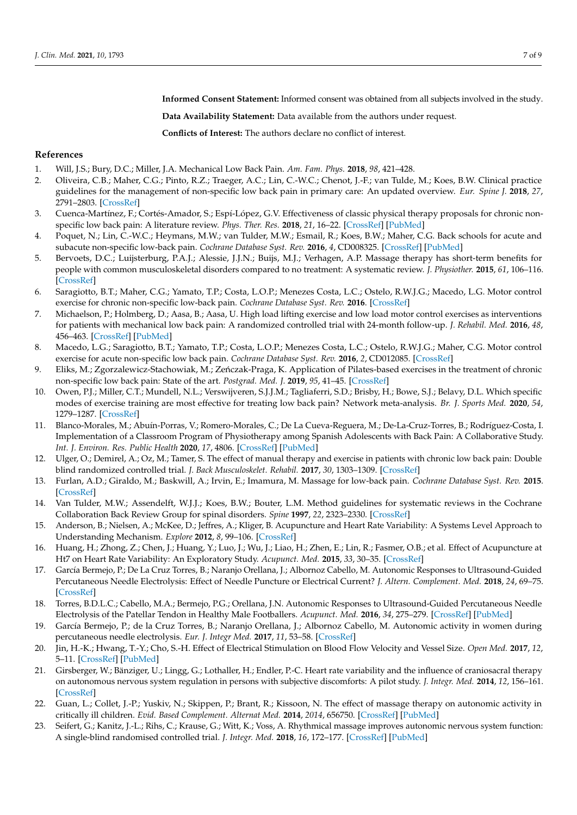**Informed Consent Statement:** Informed consent was obtained from all subjects involved in the study.

**Data Availability Statement:** Data available from the authors under request.

**Conflicts of Interest:** The authors declare no conflict of interest.

# **References**

- <span id="page-6-0"></span>1. Will, J.S.; Bury, D.C.; Miller, J.A. Mechanical Low Back Pain. *Am. Fam. Phys.* **2018**, *98*, 421–428.
- <span id="page-6-1"></span>2. Oliveira, C.B.; Maher, C.G.; Pinto, R.Z.; Traeger, A.C.; Lin, C.-W.C.; Chenot, J.-F.; van Tulde, M.; Koes, B.W. Clinical practice guidelines for the management of non-specific low back pain in primary care: An updated overview. *Eur. Spine J.* **2018**, *27*, 2791–2803. [\[CrossRef\]](http://doi.org/10.1007/s00586-018-5673-2)
- <span id="page-6-2"></span>3. Cuenca-Martínez, F.; Cortés-Amador, S.; Espí-López, G.V. Effectiveness of classic physical therapy proposals for chronic nonspecific low back pain: A literature review. *Phys. Ther. Res.* **2018**, *21*, 16–22. [\[CrossRef\]](http://doi.org/10.1298/ptr.E9937) [\[PubMed\]](http://www.ncbi.nlm.nih.gov/pubmed/30050749)
- <span id="page-6-3"></span>4. Poquet, N.; Lin, C.-W.C.; Heymans, M.W.; van Tulder, M.W.; Esmail, R.; Koes, B.W.; Maher, C.G. Back schools for acute and subacute non-specific low-back pain. *Cochrane Database Syst. Rev.* **2016**, *4*, CD008325. [\[CrossRef\]](http://doi.org/10.1002/14651858.CD008325.pub2) [\[PubMed\]](http://www.ncbi.nlm.nih.gov/pubmed/27113258)
- <span id="page-6-4"></span>5. Bervoets, D.C.; Luijsterburg, P.A.J.; Alessie, J.J.N.; Buijs, M.J.; Verhagen, A.P. Massage therapy has short-term benefits for people with common musculoskeletal disorders compared to no treatment: A systematic review. *J. Physiother.* **2015**, *61*, 106–116. [\[CrossRef\]](http://doi.org/10.1016/j.jphys.2015.05.018)
- <span id="page-6-5"></span>6. Saragiotto, B.T.; Maher, C.G.; Yamato, T.P.; Costa, L.O.P.; Menezes Costa, L.C.; Ostelo, R.W.J.G.; Macedo, L.G. Motor control exercise for chronic non-specific low-back pain. *Cochrane Database Syst. Rev.* **2016**. [\[CrossRef\]](http://doi.org/10.1002/14651858.CD012004)
- 7. Michaelson, P.; Holmberg, D.; Aasa, B.; Aasa, U. High load lifting exercise and low load motor control exercises as interventions for patients with mechanical low back pain: A randomized controlled trial with 24-month follow-up. *J. Rehabil. Med.* **2016**, *48*, 456–463. [\[CrossRef\]](http://doi.org/10.2340/16501977-2091) [\[PubMed\]](http://www.ncbi.nlm.nih.gov/pubmed/27097785)
- <span id="page-6-6"></span>8. Macedo, L.G.; Saragiotto, B.T.; Yamato, T.P.; Costa, L.O.P.; Menezes Costa, L.C.; Ostelo, R.W.J.G.; Maher, C.G. Motor control exercise for acute non-specific low back pain. *Cochrane Database Syst. Rev.* **2016**, *2*, CD012085. [\[CrossRef\]](http://doi.org/10.1002/14651858.CD012085)
- <span id="page-6-7"></span>9. Eliks, M.; Zgorzalewicz-Stachowiak, M.; Zeńczak-Praga, K. Application of Pilates-based exercises in the treatment of chronic non-specific low back pain: State of the art. *Postgrad. Med. J.* **2019**, *95*, 41–45. [\[CrossRef\]](http://doi.org/10.1136/postgradmedj-2018-135920)
- <span id="page-6-8"></span>10. Owen, P.J.; Miller, C.T.; Mundell, N.L.; Verswijveren, S.J.J.M.; Tagliaferri, S.D.; Brisby, H.; Bowe, S.J.; Belavy, D.L. Which specific modes of exercise training are most effective for treating low back pain? Network meta-analysis. *Br. J. Sports Med.* **2020**, *54*, 1279–1287. [\[CrossRef\]](http://doi.org/10.1136/bjsports-2019-100886)
- <span id="page-6-9"></span>11. Blanco-Morales, M.; Abuín-Porras, V.; Romero-Morales, C.; De La Cueva-Reguera, M.; De-La-Cruz-Torres, B.; Rodríguez-Costa, I. Implementation of a Classroom Program of Physiotherapy among Spanish Adolescents with Back Pain: A Collaborative Study. *Int. J. Environ. Res. Public Health* **2020**, *17*, 4806. [\[CrossRef\]](http://doi.org/10.3390/ijerph17134806) [\[PubMed\]](http://www.ncbi.nlm.nih.gov/pubmed/32635363)
- <span id="page-6-10"></span>12. Ulger, O.; Demirel, A.; Oz, M.; Tamer, S. The effect of manual therapy and exercise in patients with chronic low back pain: Double blind randomized controlled trial. *J. Back Musculoskelet. Rehabil.* **2017**, *30*, 1303–1309. [\[CrossRef\]](http://doi.org/10.3233/BMR-169673)
- <span id="page-6-11"></span>13. Furlan, A.D.; Giraldo, M.; Baskwill, A.; Irvin, E.; Imamura, M. Massage for low-back pain. *Cochrane Database Syst. Rev.* **2015**. [\[CrossRef\]](http://doi.org/10.1002/14651858.CD001929.pub3)
- <span id="page-6-12"></span>14. Van Tulder, M.W.; Assendelft, W.J.J.; Koes, B.W.; Bouter, L.M. Method guidelines for systematic reviews in the Cochrane Collaboration Back Review Group for spinal disorders. *Spine* **1997**, *22*, 2323–2330. [\[CrossRef\]](http://doi.org/10.1097/00007632-199710150-00001)
- <span id="page-6-13"></span>15. Anderson, B.; Nielsen, A.; McKee, D.; Jeffres, A.; Kliger, B. Acupuncture and Heart Rate Variability: A Systems Level Approach to Understanding Mechanism. *Explore* **2012**, *8*, 99–106. [\[CrossRef\]](http://doi.org/10.1016/j.explore.2011.12.002)
- 16. Huang, H.; Zhong, Z.; Chen, J.; Huang, Y.; Luo, J.; Wu, J.; Liao, H.; Zhen, E.; Lin, R.; Fasmer, O.B.; et al. Effect of Acupuncture at Ht7 on Heart Rate Variability: An Exploratory Study. *Acupunct. Med.* **2015**, *33*, 30–35. [\[CrossRef\]](http://doi.org/10.1136/acupmed-2013-010441)
- <span id="page-6-18"></span>17. García Bermejo, P.; De La Cruz Torres, B.; Naranjo Orellana, J.; Albornoz Cabello, M. Autonomic Responses to Ultrasound-Guided Percutaneous Needle Electrolysis: Effect of Needle Puncture or Electrical Current? *J. Altern. Complement. Med.* **2018**, *24*, 69–75. [\[CrossRef\]](http://doi.org/10.1089/acm.2016.0339)
- 18. Torres, B.D.L.C.; Cabello, M.A.; Bermejo, P.G.; Orellana, J.N. Autonomic Responses to Ultrasound-Guided Percutaneous Needle Electrolysis of the Patellar Tendon in Healthy Male Footballers. *Acupunct. Med.* **2016**, *34*, 275–279. [\[CrossRef\]](http://doi.org/10.1136/acupmed-2015-010993) [\[PubMed\]](http://www.ncbi.nlm.nih.gov/pubmed/26792776)
- <span id="page-6-14"></span>19. García Bermejo, P.; de la Cruz Torres, B.; Naranjo Orellana, J.; Albornoz Cabello, M. Autonomic activity in women during percutaneous needle electrolysis. *Eur. J. Integr Med.* **2017**, *11*, 53–58. [\[CrossRef\]](http://doi.org/10.1016/j.eujim.2017.02.002)
- <span id="page-6-15"></span>20. Jin, H.-K.; Hwang, T.-Y.; Cho, S.-H. Effect of Electrical Stimulation on Blood Flow Velocity and Vessel Size. *Open Med.* **2017**, *12*, 5–11. [\[CrossRef\]](http://doi.org/10.1515/med-2017-0002) [\[PubMed\]](http://www.ncbi.nlm.nih.gov/pubmed/28401194)
- <span id="page-6-16"></span>21. Girsberger, W.; Bänziger, U.; Lingg, G.; Lothaller, H.; Endler, P.-C. Heart rate variability and the influence of craniosacral therapy on autonomous nervous system regulation in persons with subjective discomforts: A pilot study. *J. Integr. Med.* **2014**, *12*, 156–161. [\[CrossRef\]](http://doi.org/10.1016/S2095-4964(14)60021-2)
- <span id="page-6-17"></span>22. Guan, L.; Collet, J.-P.; Yuskiv, N.; Skippen, P.; Brant, R.; Kissoon, N. The effect of massage therapy on autonomic activity in critically ill children. *Evid. Based Complement. Alternat Med.* **2014**, *2014*, 656750. [\[CrossRef\]](http://doi.org/10.1155/2014/656750) [\[PubMed\]](http://www.ncbi.nlm.nih.gov/pubmed/25587344)
- 23. Seifert, G.; Kanitz, J.-L.; Rihs, C.; Krause, G.; Witt, K.; Voss, A. Rhythmical massage improves autonomic nervous system function: A single-blind randomised controlled trial. *J. Integr. Med.* **2018**, *16*, 172–177. [\[CrossRef\]](http://doi.org/10.1016/j.joim.2018.03.002) [\[PubMed\]](http://www.ncbi.nlm.nih.gov/pubmed/29598986)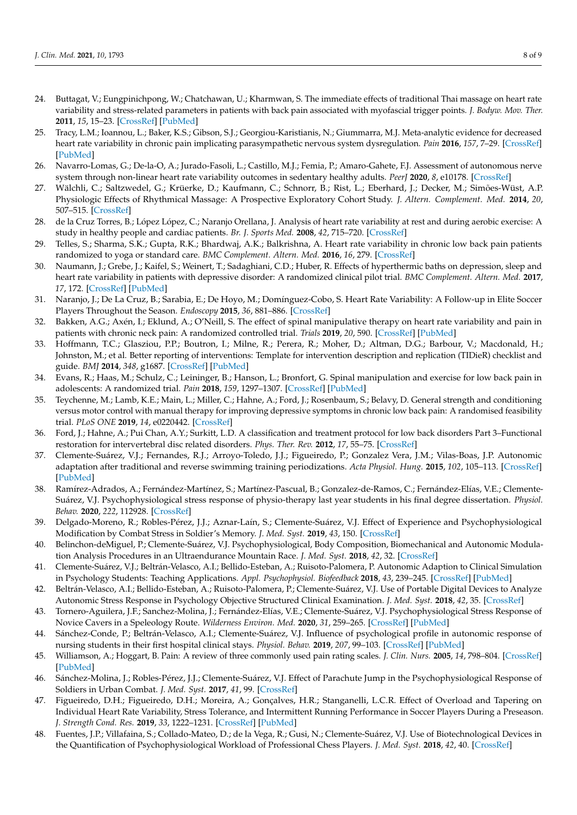- <span id="page-7-0"></span>24. Buttagat, V.; Eungpinichpong, W.; Chatchawan, U.; Kharmwan, S. The immediate effects of traditional Thai massage on heart rate variability and stress-related parameters in patients with back pain associated with myofascial trigger points. *J. Bodyw. Mov. Ther.* **2011**, *15*, 15–23. [\[CrossRef\]](http://doi.org/10.1016/j.jbmt.2009.06.005) [\[PubMed\]](http://www.ncbi.nlm.nih.gov/pubmed/21147414)
- <span id="page-7-1"></span>25. Tracy, L.M.; Ioannou, L.; Baker, K.S.; Gibson, S.J.; Georgiou-Karistianis, N.; Giummarra, M.J. Meta-analytic evidence for decreased heart rate variability in chronic pain implicating parasympathetic nervous system dysregulation. *Pain* **2016**, *157*, 7–29. [\[CrossRef\]](http://doi.org/10.1097/j.pain.0000000000000360) [\[PubMed\]](http://www.ncbi.nlm.nih.gov/pubmed/26431423)
- <span id="page-7-2"></span>26. Navarro-Lomas, G.; De-la-O, A.; Jurado-Fasoli, L.; Castillo, M.J.; Femia, P.; Amaro-Gahete, F.J. Assessment of autonomous nerve system through non-linear heart rate variability outcomes in sedentary healthy adults. *PeerJ* **2020**, *8*, e10178. [\[CrossRef\]](http://doi.org/10.7717/peerj.10178)
- <span id="page-7-3"></span>27. Wälchli, C.; Saltzwedel, G.; Krüerke, D.; Kaufmann, C.; Schnorr, B.; Rist, L.; Eberhard, J.; Decker, M.; Simões-Wüst, A.P. Physiologic Effects of Rhythmical Massage: A Prospective Exploratory Cohort Study. *J. Altern. Complement. Med.* **2014**, *20*, 507–515. [\[CrossRef\]](http://doi.org/10.1089/acm.2012.0833)
- <span id="page-7-4"></span>28. de la Cruz Torres, B.; López López, C.; Naranjo Orellana, J. Analysis of heart rate variability at rest and during aerobic exercise: A study in healthy people and cardiac patients. *Br. J. Sports Med.* **2008**, *42*, 715–720. [\[CrossRef\]](http://doi.org/10.1136/bjsm.2007.043646)
- 29. Telles, S.; Sharma, S.K.; Gupta, R.K.; Bhardwaj, A.K.; Balkrishna, A. Heart rate variability in chronic low back pain patients randomized to yoga or standard care. *BMC Complement. Altern. Med.* **2016**, *16*, 279. [\[CrossRef\]](http://doi.org/10.1186/s12906-016-1271-1)
- <span id="page-7-5"></span>30. Naumann, J.; Grebe, J.; Kaifel, S.; Weinert, T.; Sadaghiani, C.D.; Huber, R. Effects of hyperthermic baths on depression, sleep and heart rate variability in patients with depressive disorder: A randomized clinical pilot trial. *BMC Complement. Altern. Med.* **2017**, *17*, 172. [\[CrossRef\]](http://doi.org/10.1186/s12906-017-1676-5) [\[PubMed\]](http://www.ncbi.nlm.nih.gov/pubmed/28351399)
- <span id="page-7-6"></span>31. Naranjo, J.; De La Cruz, B.; Sarabia, E.; De Hoyo, M.; Domínguez-Cobo, S. Heart Rate Variability: A Follow-up in Elite Soccer Players Throughout the Season. *Endoscopy* **2015**, *36*, 881–886. [\[CrossRef\]](http://doi.org/10.1055/s-0035-1550047)
- <span id="page-7-7"></span>32. Bakken, A.G.; Axén, I.; Eklund, A.; O'Neill, S. The effect of spinal manipulative therapy on heart rate variability and pain in patients with chronic neck pain: A randomized controlled trial. *Trials* **2019**, *20*, 590. [\[CrossRef\]](http://doi.org/10.1186/s13063-019-3678-8) [\[PubMed\]](http://www.ncbi.nlm.nih.gov/pubmed/31606042)
- <span id="page-7-8"></span>33. Hoffmann, T.C.; Glasziou, P.P.; Boutron, I.; Milne, R.; Perera, R.; Moher, D.; Altman, D.G.; Barbour, V.; Macdonald, H.; Johnston, M.; et al. Better reporting of interventions: Template for intervention description and replication (TIDieR) checklist and guide. *BMJ* **2014**, *348*, g1687. [\[CrossRef\]](http://doi.org/10.1136/bmj.g1687) [\[PubMed\]](http://www.ncbi.nlm.nih.gov/pubmed/24609605)
- <span id="page-7-9"></span>34. Evans, R.; Haas, M.; Schulz, C.; Leininger, B.; Hanson, L.; Bronfort, G. Spinal manipulation and exercise for low back pain in adolescents: A randomized trial. *Pain* **2018**, *159*, 1297–1307. [\[CrossRef\]](http://doi.org/10.1097/j.pain.0000000000001211) [\[PubMed\]](http://www.ncbi.nlm.nih.gov/pubmed/29596158)
- <span id="page-7-10"></span>35. Teychenne, M.; Lamb, K.E.; Main, L.; Miller, C.; Hahne, A.; Ford, J.; Rosenbaum, S.; Belavy, D. General strength and conditioning versus motor control with manual therapy for improving depressive symptoms in chronic low back pain: A randomised feasibility trial. *PLoS ONE* **2019**, *14*, e0220442. [\[CrossRef\]](http://doi.org/10.1371/journal.pone.0220442)
- <span id="page-7-11"></span>36. Ford, J.; Hahne, A.; Pui Chan, A.Y.; Surkitt, L.D. A classification and treatment protocol for low back disorders Part 3–Functional restoration for intervertebral disc related disorders. *Phys. Ther. Rev.* **2012**, *17*, 55–75. [\[CrossRef\]](http://doi.org/10.1179/1743288X11Y.0000000037)
- <span id="page-7-12"></span>37. Clemente-Suárez, V.J.; Fernandes, R.J.; Arroyo-Toledo, J.J.; Figueiredo, P.; Gonzalez Vera, J.M.; Vilas-Boas, J.P. Autonomic adaptation after traditional and reverse swimming training periodizations. *Acta Physiol. Hung.* **2015**, *102*, 105–113. [\[CrossRef\]](http://doi.org/10.1556/APhysiol.102.2015.1.11) [\[PubMed\]](http://www.ncbi.nlm.nih.gov/pubmed/25804392)
- <span id="page-7-13"></span>38. Ramírez-Adrados, A.; Fernández-Martínez, S.; Martínez-Pascual, B.; Gonzalez-de-Ramos, C.; Fernández-Elías, V.E.; Clemente-Suárez, V.J. Psychophysiological stress response of physio-therapy last year students in his final degree dissertation. *Physiol. Behav.* **2020**, *222*, 112928. [\[CrossRef\]](http://doi.org/10.1016/j.physbeh.2020.112928)
- <span id="page-7-14"></span>39. Delgado-Moreno, R.; Robles-Pérez, J.J.; Aznar-Laín, S.; Clemente-Suárez, V.J. Effect of Experience and Psychophysiological Modification by Combat Stress in Soldier's Memory. *J. Med. Syst.* **2019**, *43*, 150. [\[CrossRef\]](http://doi.org/10.1007/s10916-019-1261-1)
- 40. Belinchon-deMiguel, P.; Clemente-Suárez, V.J. Psychophysiological, Body Composition, Biomechanical and Autonomic Modulation Analysis Procedures in an Ultraendurance Mountain Race. *J. Med. Syst.* **2018**, *42*, 32. [\[CrossRef\]](http://doi.org/10.1007/s10916-017-0889-y)
- 41. Clemente-Suárez, V.J.; Beltrán-Velasco, A.I.; Bellido-Esteban, A.; Ruisoto-Palomera, P. Autonomic Adaption to Clinical Simulation in Psychology Students: Teaching Applications. *Appl. Psychophysiol. Biofeedback* **2018**, *43*, 239–245. [\[CrossRef\]](http://doi.org/10.1007/s10484-018-9404-6) [\[PubMed\]](http://www.ncbi.nlm.nih.gov/pubmed/30043103)
- <span id="page-7-15"></span>42. Beltrán-Velasco, A.I.; Bellido-Esteban, A.; Ruisoto-Palomera, P.; Clemente-Suárez, V.J. Use of Portable Digital Devices to Analyze Autonomic Stress Response in Psychology Objective Structured Clinical Examination. *J. Med. Syst.* **2018**, *42*, 35. [\[CrossRef\]](http://doi.org/10.1007/s10916-018-0893-x)
- <span id="page-7-16"></span>43. Tornero-Aguilera, J.F.; Sanchez-Molina, J.; Fernández-Elías, V.E.; Clemente-Suárez, V.J. Psychophysiological Stress Response of Novice Cavers in a Speleology Route. *Wilderness Environ. Med.* **2020**, *31*, 259–265. [\[CrossRef\]](http://doi.org/10.1016/j.wem.2020.02.001) [\[PubMed\]](http://www.ncbi.nlm.nih.gov/pubmed/32416959)
- <span id="page-7-17"></span>44. Sánchez-Conde, P.; Beltrán-Velasco, A.I.; Clemente-Suárez, V.J. Influence of psychological profile in autonomic response of nursing students in their first hospital clinical stays. *Physiol. Behav.* **2019**, *207*, 99–103. [\[CrossRef\]](http://doi.org/10.1016/j.physbeh.2019.05.008) [\[PubMed\]](http://www.ncbi.nlm.nih.gov/pubmed/31078671)
- <span id="page-7-18"></span>45. Williamson, A.; Hoggart, B. Pain: A review of three commonly used pain rating scales. *J. Clin. Nurs.* **2005**, *14*, 798–804. [\[CrossRef\]](http://doi.org/10.1111/j.1365-2702.2005.01121.x) [\[PubMed\]](http://www.ncbi.nlm.nih.gov/pubmed/16000093)
- <span id="page-7-19"></span>46. Sánchez-Molina, J.; Robles-Pérez, J.J.; Clemente-Suárez, V.J. Effect of Parachute Jump in the Psychophysiological Response of Soldiers in Urban Combat. *J. Med. Syst.* **2017**, *41*, 99. [\[CrossRef\]](http://doi.org/10.1007/s10916-017-0749-9)
- <span id="page-7-21"></span>47. Figueiredo, D.H.; Figueiredo, D.H.; Moreira, A.; Gonçalves, H.R.; Stanganelli, L.C.R. Effect of Overload and Tapering on Individual Heart Rate Variability, Stress Tolerance, and Intermittent Running Performance in Soccer Players During a Preseason. *J. Strength Cond. Res.* **2019**, *33*, 1222–1231. [\[CrossRef\]](http://doi.org/10.1519/JSC.0000000000003127) [\[PubMed\]](http://www.ncbi.nlm.nih.gov/pubmed/30908376)
- <span id="page-7-20"></span>48. Fuentes, J.P.; Villafaina, S.; Collado-Mateo, D.; de la Vega, R.; Gusi, N.; Clemente-Suárez, V.J. Use of Biotechnological Devices in the Quantification of Psychophysiological Workload of Professional Chess Players. *J. Med. Syst.* **2018**, *42*, 40. [\[CrossRef\]](http://doi.org/10.1007/s10916-018-0890-0)